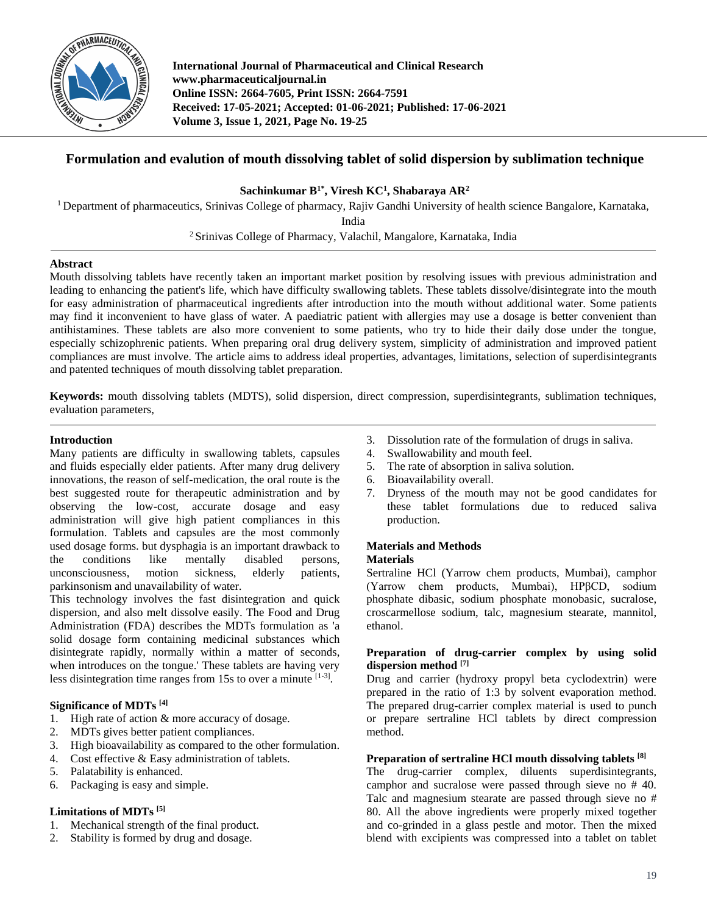

**International Journal of Pharmaceutical and Clinical Research www.pharmaceuticaljournal.in Online ISSN: 2664-7605, Print ISSN: 2664-7591 Received: 17-05-2021; Accepted: 01-06-2021; Published: 17-06-2021 Volume 3, Issue 1, 2021, Page No. 19-25**

# **Formulation and evalution of mouth dissolving tablet of solid dispersion by sublimation technique**

**Sachinkumar B1\* , Viresh KC<sup>1</sup> , Shabaraya AR<sup>2</sup>**

<sup>1</sup> Department of pharmaceutics, Srinivas College of pharmacy, Rajiv Gandhi University of health science Bangalore, Karnataka,

India

<sup>2</sup> Srinivas College of Pharmacy, Valachil, Mangalore, Karnataka, India

# **Abstract**

Mouth dissolving tablets have recently taken an important market position by resolving issues with previous administration and leading to enhancing the patient's life, which have difficulty swallowing tablets. These tablets dissolve/disintegrate into the mouth for easy administration of pharmaceutical ingredients after introduction into the mouth without additional water. Some patients may find it inconvenient to have glass of water. A paediatric patient with allergies may use a dosage is better convenient than antihistamines. These tablets are also more convenient to some patients, who try to hide their daily dose under the tongue, especially schizophrenic patients. When preparing oral drug delivery system, simplicity of administration and improved patient compliances are must involve. The article aims to address ideal properties, advantages, limitations, selection of superdisintegrants and patented techniques of mouth dissolving tablet preparation.

**Keywords:** mouth dissolving tablets (MDTS), solid dispersion, direct compression, superdisintegrants, sublimation techniques, evaluation parameters,

# **Introduction**

Many patients are difficulty in swallowing tablets, capsules and fluids especially elder patients. After many drug delivery innovations, the reason of self-medication, the oral route is the best suggested route for therapeutic administration and by observing the low-cost, accurate dosage and easy administration will give high patient compliances in this formulation. Tablets and capsules are the most commonly used dosage forms. but dysphagia is an important drawback to the conditions like mentally disabled persons, unconsciousness, motion sickness, elderly patients, parkinsonism and unavailability of water.

This technology involves the fast disintegration and quick dispersion, and also melt dissolve easily. The Food and Drug Administration (FDA) describes the MDTs formulation as 'a solid dosage form containing medicinal substances which disintegrate rapidly, normally within a matter of seconds, when introduces on the tongue.' These tablets are having very less disintegration time ranges from 15s to over a minute  $[1-3]$ .

# **Significance of MDTs [4]**

- 1. High rate of action & more accuracy of dosage.
- 2. MDTs gives better patient compliances.
- 3. High bioavailability as compared to the other formulation.
- 4. Cost effective & Easy administration of tablets.
- 5. Palatability is enhanced.
- 6. Packaging is easy and simple.

# **Limitations of MDTs [5]**

- 1. Mechanical strength of the final product.
- 2. Stability is formed by drug and dosage.
- 3. Dissolution rate of the formulation of drugs in saliva.
- 4. Swallowability and mouth feel.
- 5. The rate of absorption in saliva solution.
- 6. Bioavailability overall.
- 7. Dryness of the mouth may not be good candidates for these tablet formulations due to reduced saliva production.

#### **Materials and Methods Materials**

Sertraline HCl (Yarrow chem products, Mumbai), camphor (Yarrow chem products, Mumbai), HPβCD, sodium phosphate dibasic, sodium phosphate monobasic, sucralose, croscarmellose sodium, talc, magnesium stearate, mannitol, ethanol.

# **Preparation of drug-carrier complex by using solid dispersion method [7]**

Drug and carrier (hydroxy propyl beta cyclodextrin) were prepared in the ratio of 1:3 by solvent evaporation method. The prepared drug-carrier complex material is used to punch or prepare sertraline HCl tablets by direct compression method.

# **Preparation of sertraline HCl mouth dissolving tablets [8]**

The drug-carrier complex, diluents superdisintegrants, camphor and sucralose were passed through sieve no # 40. Talc and magnesium stearate are passed through sieve no # 80. All the above ingredients were properly mixed together and co-grinded in a glass pestle and motor. Then the mixed blend with excipients was compressed into a tablet on tablet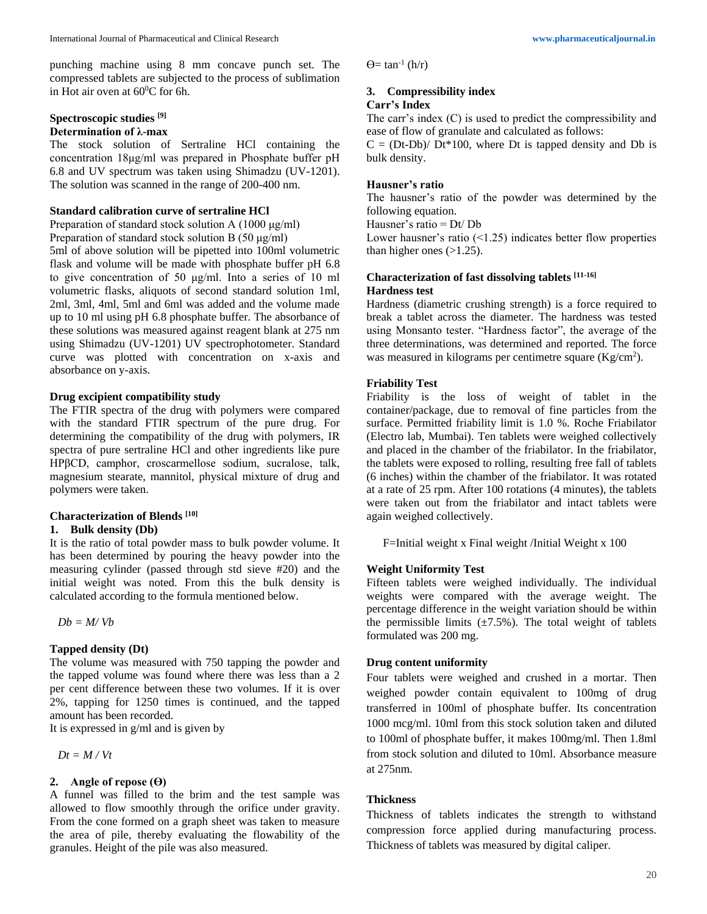punching machine using 8 mm concave punch set. The compressed tablets are subjected to the process of sublimation in Hot air oven at  $60^{\circ}$ C for 6h.

# **Spectroscopic studies [9]**

# **Determination of λ-max**

The stock solution of Sertraline HCl containing the concentration 18μg/ml was prepared in Phosphate buffer pH 6.8 and UV spectrum was taken using Shimadzu (UV-1201). The solution was scanned in the range of 200-400 nm.

# **Standard calibration curve of sertraline HCl**

Preparation of standard stock solution A (1000 μg/ml) Preparation of standard stock solution B (50 μg/ml) 5ml of above solution will be pipetted into 100ml volumetric flask and volume will be made with phosphate buffer pH 6.8 to give concentration of 50 μg/ml. Into a series of 10 ml volumetric flasks, aliquots of second standard solution 1ml, 2ml, 3ml, 4ml, 5ml and 6ml was added and the volume made up to 10 ml using pH 6.8 phosphate buffer. The absorbance of these solutions was measured against reagent blank at 275 nm using Shimadzu (UV-1201) UV spectrophotometer. Standard curve was plotted with concentration on x-axis and absorbance on y-axis.

#### **Drug excipient compatibility study**

The FTIR spectra of the drug with polymers were compared with the standard FTIR spectrum of the pure drug. For determining the compatibility of the drug with polymers, IR spectra of pure sertraline HCl and other ingredients like pure HPβCD, camphor, croscarmellose sodium, sucralose, talk, magnesium stearate, mannitol, physical mixture of drug and polymers were taken.

## **Characterization of Blends [10]**

#### **1. Bulk density (Db)**

It is the ratio of total powder mass to bulk powder volume. It has been determined by pouring the heavy powder into the measuring cylinder (passed through std sieve #20) and the initial weight was noted. From this the bulk density is calculated according to the formula mentioned below.

*Db = M/ Vb*

#### **Tapped density (Dt)**

The volume was measured with 750 tapping the powder and the tapped volume was found where there was less than a 2 per cent difference between these two volumes. If it is over 2%, tapping for 1250 times is continued, and the tapped amount has been recorded.

It is expressed in g/ml and is given by

*Dt = M / Vt*

## **2. Angle of repose (** $\Theta$ **)**

A funnel was filled to the brim and the test sample was allowed to flow smoothly through the orifice under gravity. From the cone formed on a graph sheet was taken to measure the area of pile, thereby evaluating the flowability of the granules. Height of the pile was also measured.

 $\Theta$ = tan<sup>-1</sup> (h/r)

# **3. Compressibility index**

# **Carr's Index**

The carr's index (C) is used to predict the compressibility and ease of flow of granulate and calculated as follows:

 $C = (Dt-Db)/Dt*100$ , where Dt is tapped density and Db is bulk density.

#### **Hausner's ratio**

The hausner's ratio of the powder was determined by the following equation.

Hausner's ratio = Dt/ Db

Lower hausner's ratio  $(1.25)$  indicates better flow properties than higher ones  $(>1.25)$ .

# **Characterization of fast dissolving tablets [11-16] Hardness test**

Hardness (diametric crushing strength) is a force required to break a tablet across the diameter. The hardness was tested using Monsanto tester. "Hardness factor", the average of the three determinations, was determined and reported. The force was measured in kilograms per centimetre square  $(Kg/cm<sup>2</sup>)$ .

## **Friability Test**

Friability is the loss of weight of tablet in the container/package, due to removal of fine particles from the surface. Permitted friability limit is 1.0 %. Roche Friabilator (Electro lab, Mumbai). Ten tablets were weighed collectively and placed in the chamber of the friabilator. In the friabilator, the tablets were exposed to rolling, resulting free fall of tablets (6 inches) within the chamber of the friabilator. It was rotated at a rate of 25 rpm. After 100 rotations (4 minutes), the tablets were taken out from the friabilator and intact tablets were again weighed collectively.

F=Initial weight x Final weight /Initial Weight x 100

#### **Weight Uniformity Test**

Fifteen tablets were weighed individually. The individual weights were compared with the average weight. The percentage difference in the weight variation should be within the permissible limits  $(\pm 7.5\%)$ . The total weight of tablets formulated was 200 mg.

## **Drug content uniformity**

Four tablets were weighed and crushed in a mortar. Then weighed powder contain equivalent to 100mg of drug transferred in 100ml of phosphate buffer. Its concentration 1000 mcg/ml. 10ml from this stock solution taken and diluted to 100ml of phosphate buffer, it makes 100mg/ml. Then 1.8ml from stock solution and diluted to 10ml. Absorbance measure at 275nm.

# **Thickness**

Thickness of tablets indicates the strength to withstand compression force applied during manufacturing process. Thickness of tablets was measured by digital caliper.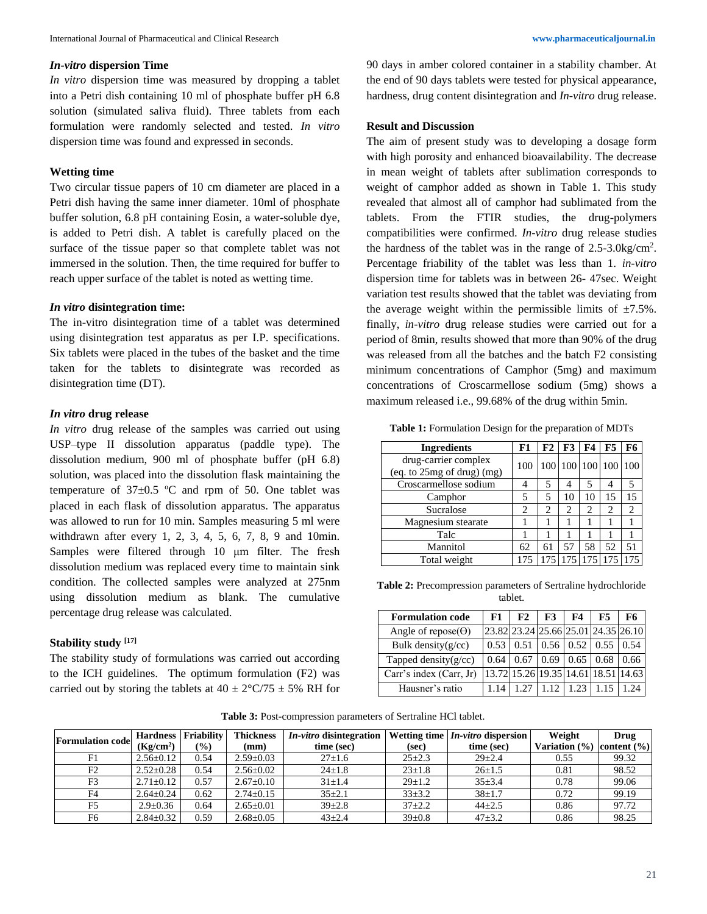#### *In-vitro* **dispersion Time**

*In vitro* dispersion time was measured by dropping a tablet into a Petri dish containing 10 ml of phosphate buffer pH 6.8 solution (simulated saliva fluid). Three tablets from each formulation were randomly selected and tested. *In vitro*  dispersion time was found and expressed in seconds.

# **Wetting time**

Two circular tissue papers of 10 cm diameter are placed in a Petri dish having the same inner diameter. 10ml of phosphate buffer solution, 6.8 pH containing Eosin, a water-soluble dye, is added to Petri dish. A tablet is carefully placed on the surface of the tissue paper so that complete tablet was not immersed in the solution. Then, the time required for buffer to reach upper surface of the tablet is noted as wetting time.

#### *In vitro* **disintegration time:**

The in-vitro disintegration time of a tablet was determined using disintegration test apparatus as per I.P. specifications. Six tablets were placed in the tubes of the basket and the time taken for the tablets to disintegrate was recorded as disintegration time (DT).

#### *In vitro* **drug release**

*In vitro* drug release of the samples was carried out using USP–type II dissolution apparatus (paddle type). The dissolution medium, 900 ml of phosphate buffer (pH 6.8) solution, was placed into the dissolution flask maintaining the temperature of  $37\pm0.5$  °C and rpm of 50. One tablet was placed in each flask of dissolution apparatus. The apparatus was allowed to run for 10 min. Samples measuring 5 ml were withdrawn after every 1, 2, 3, 4, 5, 6, 7, 8, 9 and 10min. Samples were filtered through 10 μm filter. The fresh dissolution medium was replaced every time to maintain sink condition. The collected samples were analyzed at 275nm using dissolution medium as blank. The cumulative percentage drug release was calculated.

#### **Stability study [17]**

The stability study of formulations was carried out according to the ICH guidelines. The optimum formulation (F2) was carried out by storing the tablets at  $40 \pm 2^{\circ}C/75 \pm 5\%$  RH for 90 days in amber colored container in a stability chamber. At the end of 90 days tablets were tested for physical appearance, hardness, drug content disintegration and *In-vitro* drug release.

## **Result and Discussion**

The aim of present study was to developing a dosage form with high porosity and enhanced bioavailability. The decrease in mean weight of tablets after sublimation corresponds to weight of camphor added as shown in Table 1. This study revealed that almost all of camphor had sublimated from the tablets. From the FTIR studies, the drug-polymers compatibilities were confirmed. *In-vitro* drug release studies the hardness of the tablet was in the range of 2.5-3.0kg/cm<sup>2</sup> . Percentage friability of the tablet was less than 1. *in-vitro* dispersion time for tablets was in between 26- 47sec. Weight variation test results showed that the tablet was deviating from the average weight within the permissible limits of  $\pm 7.5\%$ . finally, *in-vitro* drug release studies were carried out for a period of 8min, results showed that more than 90% of the drug was released from all the batches and the batch F2 consisting minimum concentrations of Camphor (5mg) and maximum concentrations of Croscarmellose sodium (5mg) shows a maximum released i.e., 99.68% of the drug within 5min.

**Table 1:** Formulation Design for the preparation of MDTs

| <b>Ingredients</b>                                 | F1                            | F2 | F3 | <b>F4</b> | <b>F5</b>           | F6  |
|----------------------------------------------------|-------------------------------|----|----|-----------|---------------------|-----|
| drug-carrier complex<br>(eq. to 25mg of drug) (mg) | 100                           |    |    |           | 100 100 100 100     | 100 |
| Croscarmellose sodium                              |                               | 5  | 4  | 5         |                     | 5   |
| Camphor                                            |                               | 5  | 10 | 10        | 15                  | 15  |
| Sucralose                                          | $\mathfrak{D}_{\mathfrak{p}}$ | 2  | 2  | 2         | 2                   | 2   |
| Magnesium stearate                                 |                               |    |    |           |                     |     |
| Talc                                               |                               |    |    |           |                     |     |
| Mannitol                                           | 62                            | 61 | 57 | 58        | 52                  | 51  |
| Total weight                                       | 175                           |    |    |           | 175 175 175 175 175 |     |

**Table 2:** Precompression parameters of Sertraline hydrochloride tablet.

| <b>Formulation code</b>     | F1.                                 | F2                                  | $F3$ | F4                       | F5   | F6.  |
|-----------------------------|-------------------------------------|-------------------------------------|------|--------------------------|------|------|
| Angle of repose( $\Theta$ ) | 23.82 23.24 25.66 25.01 24.35 26.10 |                                     |      |                          |      |      |
| Bulk density $(g/cc)$       | 0.53                                | 0.51                                |      | $0.56$   $0.52$   $0.55$ |      | 0.54 |
| Tapped density $(g/cc)$     | 0.64                                | 0.67                                | 0.69 | 0.65                     | 0.68 | 0.66 |
| Carr's index (Carr, Jr)     |                                     | 13.72 15.26 19.35 14.61 18.51 14.63 |      |                          |      |      |
| Hausner's ratio             | 1.14                                |                                     |      | 123                      |      |      |

**Table 3:** Post-compression parameters of Sertraline HCl tablet.

| <b>Formulation code</b> | <b>Hardness</b>       | <b>Friability</b> | <b>Thickness</b> | <i>In-vitro</i> disintegration |              | <b>Wetting time</b> $In-vitro$ dispersion | Weight            | Drug            |
|-------------------------|-----------------------|-------------------|------------------|--------------------------------|--------------|-------------------------------------------|-------------------|-----------------|
|                         | (Kg/cm <sup>2</sup> ) | $\frac{1}{2}$     | (mm)             | time (sec)                     | (sec)        | time (sec)                                | Variation $(\% )$ | content $(\% )$ |
| F1                      | $2.56 + 0.12$         | 0.54              | $2.59 \pm 0.03$  | $27 \pm 1.6$                   | $25 + 2.3$   | $29 \pm 2.4$                              | 0.55              | 99.32           |
| F <sub>2</sub>          | $2.52+0.28$           | 0.54              | $2.56 \pm 0.02$  | $24 \pm 1.8$                   | $23 \pm 1.8$ | $26 \pm 1.5$                              | 0.81              | 98.52           |
| F <sub>3</sub>          | $2.71 \pm 0.12$       | 0.57              | $2.67 \pm 0.10$  | $31 \pm 1.4$                   | $29 \pm 1.2$ | $35 + 3.4$                                | 0.78              | 99.06           |
| F4                      | $2.64 \pm 0.24$       | 0.62              | $2.74 \pm 0.15$  | $35 + 2.1$                     | $33\pm3.2$   | $38+1.7$                                  | 0.72              | 99.19           |
| F5                      | $2.9 + 0.36$          | 0.64              | $2.65 \pm 0.01$  | $39 \pm 2.8$                   | $37 + 2.2$   | $44\pm2.5$                                | 0.86              | 97.72           |
| F <sub>6</sub>          | $2.84 \pm 0.32$       | 0.59              | $2.68 \pm 0.05$  | $43 + 2.4$                     | $39 \pm 0.8$ | $47 + 3.2$                                | 0.86              | 98.25           |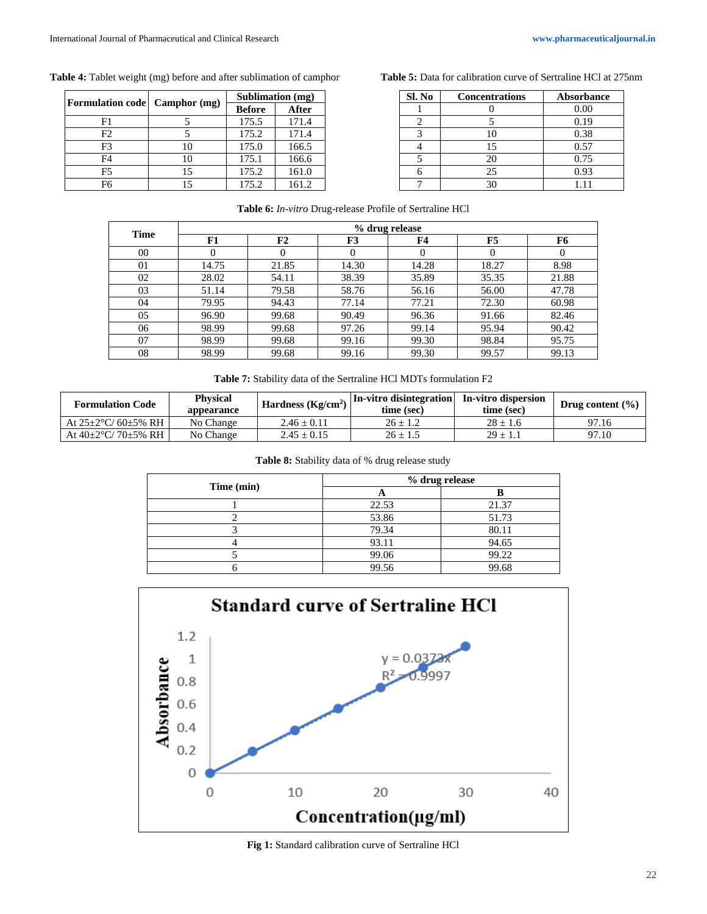# **Table 4:** Tablet weight (mg) before and after sublimation of camphor

|                         | Camphor (mg) | Sublimation (mg) |       |  |  |
|-------------------------|--------------|------------------|-------|--|--|
| <b>Formulation code</b> |              | <b>Before</b>    | After |  |  |
| F1                      |              | 175.5            | 171.4 |  |  |
| F2                      |              | 175.2            | 171.4 |  |  |
| F3                      | 10           | 175.0            | 166.5 |  |  |
| F4                      | 10           | 175.1            | 166.6 |  |  |
| F5                      | 15           | 175.2            | 161.0 |  |  |
| F6                      |              | 175.2            | 161.2 |  |  |

**Table 5:** Data for calibration curve of Sertraline HCl at 275nm

| Sl. No | <b>Concentrations</b> | <b>Absorbance</b> |
|--------|-----------------------|-------------------|
|        |                       | 0.00              |
|        |                       | 0.19              |
|        | 10                    | 0.38              |
|        | 15                    | 0.57              |
|        | 20                    | 0.75              |
|        | 25                    | 0.93              |
|        | 30                    | 111               |

|  | Table 6: In-vitro Drug-release Profile of Sertraline HCl |  |
|--|----------------------------------------------------------|--|
|  |                                                          |  |

| Time |       |          |       |          |       |       |
|------|-------|----------|-------|----------|-------|-------|
|      | F1    | F2       | F3    | F4       | F5    | F6    |
| 00   | 0     | $\theta$ |       | $\theta$ |       |       |
| 01   | 14.75 | 21.85    | 14.30 | 14.28    | 18.27 | 8.98  |
| 02   | 28.02 | 54.11    | 38.39 | 35.89    | 35.35 | 21.88 |
| 03   | 51.14 | 79.58    | 58.76 | 56.16    | 56.00 | 47.78 |
| 04   | 79.95 | 94.43    | 77.14 | 77.21    | 72.30 | 60.98 |
| 05   | 96.90 | 99.68    | 90.49 | 96.36    | 91.66 | 82.46 |
| 06   | 98.99 | 99.68    | 97.26 | 99.14    | 95.94 | 90.42 |
| 07   | 98.99 | 99.68    | 99.16 | 99.30    | 98.84 | 95.75 |
| 08   | 98.99 | 99.68    | 99.16 | 99.30    | 99.57 | 99.13 |

**Table 7:** Stability data of the Sertraline HCl MDTs formulation F2

| <b>Formulation Code</b>          | <b>Physical</b><br>appearance | Hardness $(Kg/cm2)$ | In-vitro disintegration<br>time (sec) | In-vitro dispersion<br>time (sec) | Drug content $(\% )$ |
|----------------------------------|-------------------------------|---------------------|---------------------------------------|-----------------------------------|----------------------|
| At $25\pm2\degree C/60\pm5\%$ RH | No Change                     | $2.46 \pm 0.11$     | $26 + 1.2$                            | $28 \pm 1.6$                      | 97.16                |
| At $40\pm2\degree C/70\pm5\%$ RH | No Change                     | $2.45 \pm 0.15$     | $26 \pm 1.5$                          | $29 \pm 1.1$                      | 97.10                |

|  | Table 8: Stability data of % drug release study |  |  |  |
|--|-------------------------------------------------|--|--|--|
|  |                                                 |  |  |  |

| Time (min) |       | % drug release |
|------------|-------|----------------|
|            | n     |                |
|            | 22.53 | 21.37          |
|            | 53.86 | 51.73          |
|            | 79.34 | 80.11          |
|            | 93.11 | 94.65          |
|            | 99.06 | 99.22          |
|            | 99.56 | 99.68          |



**Fig 1:** Standard calibration curve of Sertraline HCl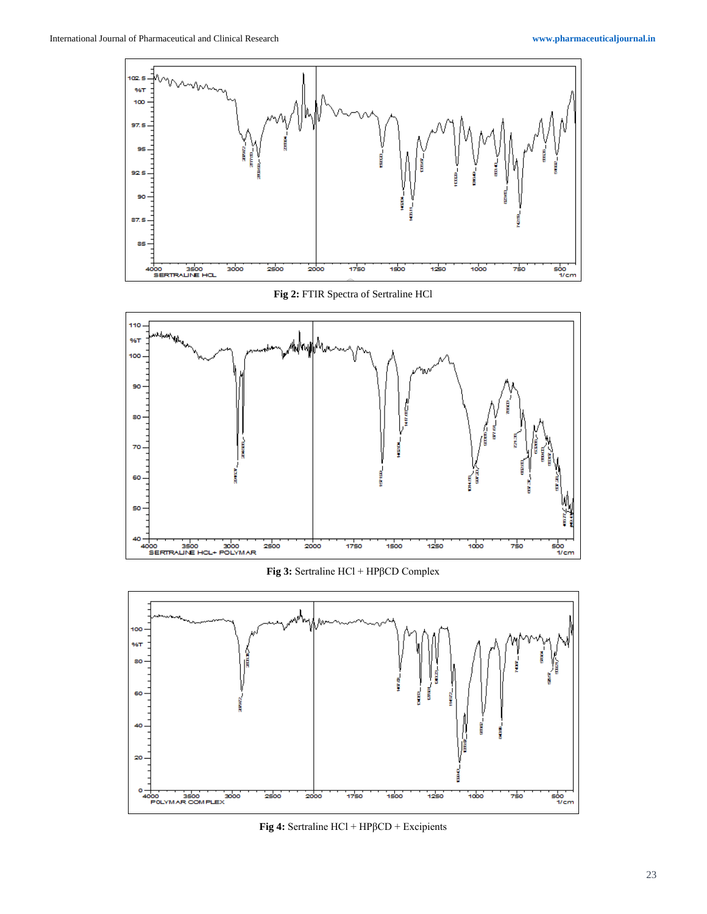

**Fig 2:** FTIR Spectra of Sertraline HCl



**Fig 3:** Sertraline HCl + HPβCD Complex



**Fig 4:** Sertraline HCl + HPβCD + Excipients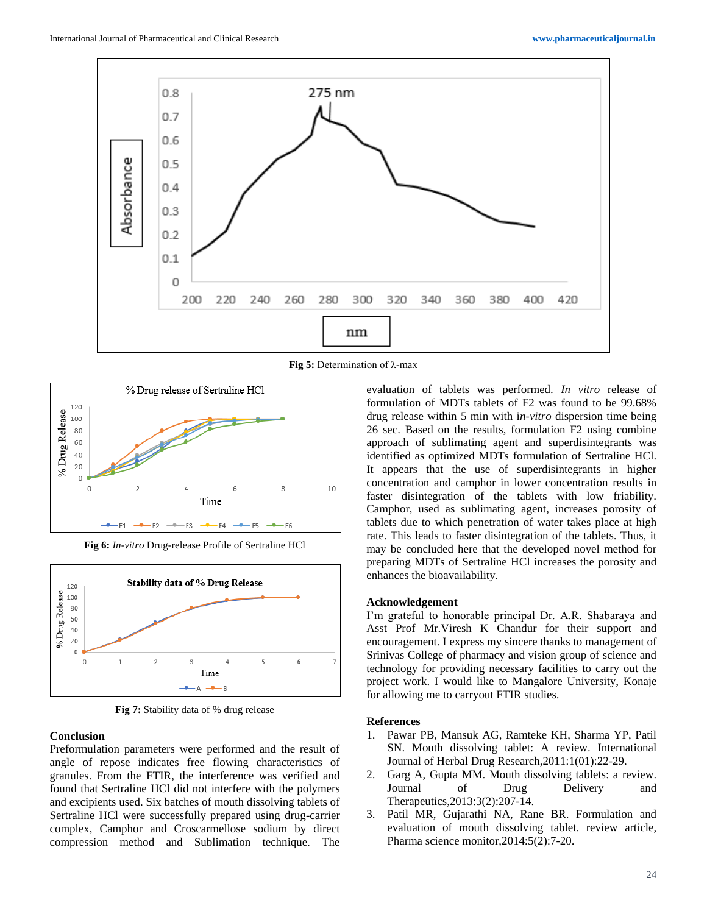

**Fig 5:** Determination of λ-max



**Fig 6:** *In-vitro* Drug-release Profile of Sertraline HCl



**Fig 7:** Stability data of % drug release

#### **Conclusion**

Preformulation parameters were performed and the result of angle of repose indicates free flowing characteristics of granules. From the FTIR, the interference was verified and found that Sertraline HCl did not interfere with the polymers and excipients used. Six batches of mouth dissolving tablets of Sertraline HCl were successfully prepared using drug-carrier complex, Camphor and Croscarmellose sodium by direct compression method and Sublimation technique. The

evaluation of tablets was performed. *In vitro* release of formulation of MDTs tablets of F2 was found to be 99.68% drug release within 5 min with i*n-vitro* dispersion time being 26 sec. Based on the results, formulation F2 using combine approach of sublimating agent and superdisintegrants was identified as optimized MDTs formulation of Sertraline HCl. It appears that the use of superdisintegrants in higher concentration and camphor in lower concentration results in faster disintegration of the tablets with low friability. Camphor, used as sublimating agent, increases porosity of tablets due to which penetration of water takes place at high rate. This leads to faster disintegration of the tablets. Thus, it may be concluded here that the developed novel method for preparing MDTs of Sertraline HCl increases the porosity and enhances the bioavailability.

#### **Acknowledgement**

I'm grateful to honorable principal Dr. A.R. Shabaraya and Asst Prof Mr.Viresh K Chandur for their support and encouragement. I express my sincere thanks to management of Srinivas College of pharmacy and vision group of science and technology for providing necessary facilities to carry out the project work. I would like to Mangalore University, Konaje for allowing me to carryout FTIR studies.

#### **References**

- 1. Pawar PB, Mansuk AG, Ramteke KH, Sharma YP, Patil SN. Mouth dissolving tablet: A review. International Journal of Herbal Drug Research,2011:1(01):22-29.
- 2. Garg A, Gupta MM. Mouth dissolving tablets: a review. Journal of Drug Delivery and Therapeutics,2013:3(2):207-14.
- 3. Patil MR, Gujarathi NA, Rane BR. Formulation and evaluation of mouth dissolving tablet. review article, Pharma science monitor,2014:5(2):7-20.